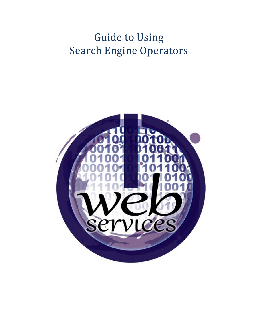# Guide to Using Search Engine Operators

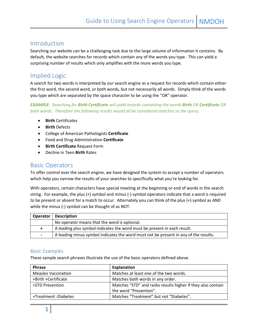## Introduction

Searching our website can be a challenging task due to the large volume of information it contains. By default, the website searches for records which contain any of the words you type. This can yield a surprising number of results which only amplifies with the more words you type.

# Implied Logic

A search for two words is interpreted by our search engine as a request for records which contain either the first word, the second word, or both words, but not necessarily all words. Simply think of the words you type which are separated by the space character to be using the "OR" operator.

*EXAMPLE: Searching for Birth Certificate will yield records containing the words Birth OR Certificate OR both words. Therefore the following results would all be considered matches to the query.*

- **Birth** Certificates
- **Birth** Defects
- College of American Pathologists **Certificate**
- Food and Drug Administration **Certificate**
- **Birth Certificate** Request Form
- Decline in Teen **Birth** Rates

## Basic Operators

To offer control over the search engine, we have designed the system to accept a number of operators which help you narrow the results of your searches to specifically what you're looking for.

With operators, certain characters have special meeting at the beginning or end of words in the search string. For example, the plus (+) symbol and minus (-) symbol operators indicate that a word is required to be present or absent for a match to occur. Alternately you can think of the plus (+) symbol as AND while the minus (-) symbol can be thought of as NOT.

|                          | <b>Operator</b> Description                                                          |
|--------------------------|--------------------------------------------------------------------------------------|
|                          | No operator means that the word is optional.                                         |
|                          | A leading plus symbol indicates the word must be present in each result.             |
| $\overline{\phantom{0}}$ | A leading minus symbol indicates the word must not be present in any of the results. |

#### Basic Examples

These sample search phrases illustrate the use of the basic operators defined above.

| <b>Phrase</b>              | Explanation                                                 |  |  |
|----------------------------|-------------------------------------------------------------|--|--|
| <b>Measles Vaccination</b> | Matches at least one of the two words.                      |  |  |
| +Birth +Certificate        | Matches both words in any order.                            |  |  |
| +STD Prevention            | Matches "STD" and ranks results higher if they also contain |  |  |
|                            | the word "Prevention".                                      |  |  |
| +Treatment -Diabetes       | Matches "Treatment" but not "Diabetes".                     |  |  |
|                            |                                                             |  |  |